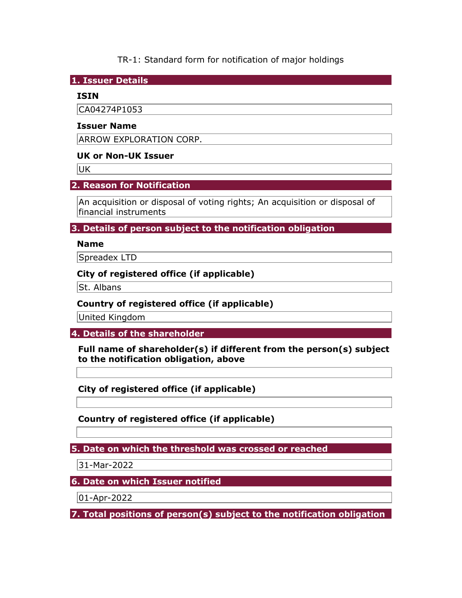TR-1: Standard form for notification of major holdings

1. Issuer Details

## ISIN

CA04274P1053

## Issuer Name

ARROW EXPLORATION CORP.

## UK or Non-UK Issuer

UK

# 2. Reason for Notification

An acquisition or disposal of voting rights; An acquisition or disposal of financial instruments

3. Details of person subject to the notification obligation

## Name

Spreadex LTD

## City of registered office (if applicable)

St. Albans

## Country of registered office (if applicable)

United Kingdom

4. Details of the shareholder

Full name of shareholder(s) if different from the person(s) subject to the notification obligation, above

City of registered office (if applicable)

Country of registered office (if applicable)

5. Date on which the threshold was crossed or reached

31-Mar-2022

6. Date on which Issuer notified

01-Apr-2022

7. Total positions of person(s) subject to the notification obligation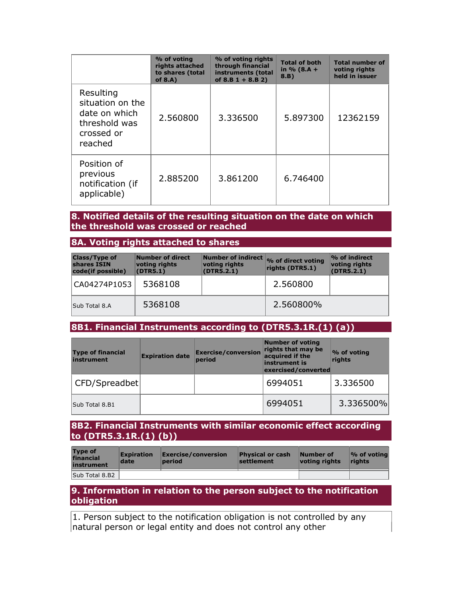|                                                                                          | % of voting<br>rights attached<br>to shares (total<br>of $8.A$ ) | % of voting rights<br>through financial<br>instruments (total<br>of $8.B 1 + 8.B 2)$ | <b>Total of both</b><br>in $% (8.A +$<br>8.B) | <b>Total number of</b><br>voting rights<br>held in issuer |
|------------------------------------------------------------------------------------------|------------------------------------------------------------------|--------------------------------------------------------------------------------------|-----------------------------------------------|-----------------------------------------------------------|
| Resulting<br>situation on the<br>date on which<br>threshold was<br>crossed or<br>reached | 2.560800                                                         | 3.336500                                                                             | 5.897300                                      | 12362159                                                  |
| Position of<br>previous<br>notification (if<br>applicable)                               | 2.885200                                                         | 3.861200                                                                             | 6.746400                                      |                                                           |

### 8. Notified details of the resulting situation on the date on which the threshold was crossed or reached

### 8A. Voting rights attached to shares

| <b>Class/Type of</b><br>shares ISIN<br>code(if possible) | Number of direct<br>voting rights<br>(DTR5.1) | voting rights<br>(DTR5.2.1) | Number of indirect % of direct voting<br>rights (DTR5.1) | $\%$ of indirect<br>voting rights<br>(DTR5.2.1) |
|----------------------------------------------------------|-----------------------------------------------|-----------------------------|----------------------------------------------------------|-------------------------------------------------|
| CA04274P1053                                             | 5368108                                       |                             | 2.560800                                                 |                                                 |
| Sub Total 8.A                                            | 5368108                                       |                             | 2.560800%                                                |                                                 |

# 8B1. Financial Instruments according to (DTR5.3.1R.(1) (a))

| <b>Type of financial</b><br>instrument | <b>Expiration date</b> | <b>Exercise/conversion</b><br>period | <b>Number of voting</b><br>rights that may be<br>acquired if the<br>instrument is<br>exercised/converted | % of voting<br>rights |
|----------------------------------------|------------------------|--------------------------------------|----------------------------------------------------------------------------------------------------------|-----------------------|
| CFD/Spreadbet                          |                        |                                      | 6994051                                                                                                  | 3.336500              |
| Sub Total 8.B1                         |                        |                                      | 6994051                                                                                                  | 3.336500%             |

### 8B2. Financial Instruments with similar economic effect according to (DTR5.3.1R.(1) (b))

| <b>Type of</b><br>financial<br>instrument | <b>Expiration</b><br>date | Exercise/conversion<br>period | <b>Physical or cash</b><br>settlement | Number of<br>votina riahts | $\mathcal{O}_0$ of voting<br><b>rights</b> |
|-------------------------------------------|---------------------------|-------------------------------|---------------------------------------|----------------------------|--------------------------------------------|
| Sub Total 8.B2                            |                           |                               |                                       |                            |                                            |

### 9. Information in relation to the person subject to the notification obligation

1. Person subject to the notification obligation is not controlled by any natural person or legal entity and does not control any other